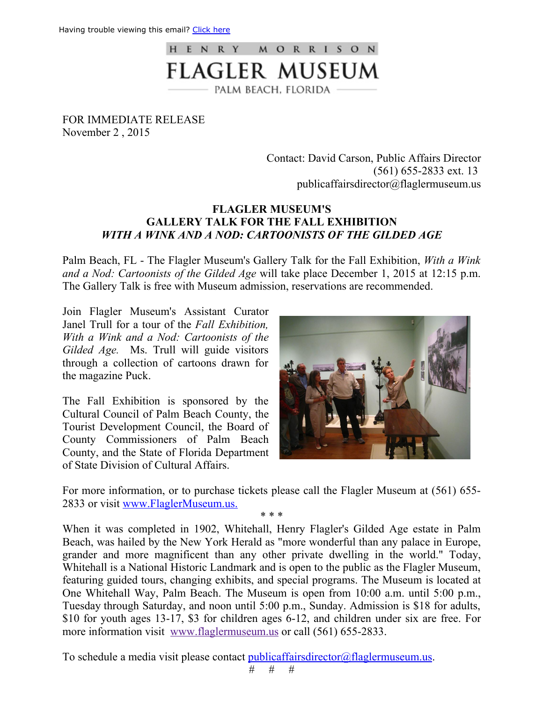

FOR IMMEDIATE RELEASE November 2 , 2015

> Contact: David Carson, Public Affairs Director (561) 6552833 ext. 13 publicaffairsdirector@flaglermuseum.us

## **FLAGLER MUSEUM'S GALLERY TALK FOR THE FALL EXHIBITION** *WITH A WINK AND A NOD: CARTOONISTS OF THE GILDED AGE*

Palm Beach, FL The Flagler Museum's Gallery Talk for the Fall Exhibition, *With a Wink and a Nod: Cartoonists of the Gilded Age* will take place December 1, 2015 at 12:15 p.m. The Gallery Talk is free with Museum admission, reservations are recommended.

Join Flagler Museum's Assistant Curator Janel Trull for a tour of the *Fall Exhibition, With a Wink and a Nod: Cartoonists of the Gilded Age.* Ms. Trull will guide visitors through a collection of cartoons drawn for the magazine Puck.

The Fall Exhibition is sponsored by the Cultural Council of Palm Beach County, the Tourist Development Council, the Board of County Commissioners of Palm Beach County, and the State of Florida Department of State Division of Cultural Affairs.



For more information, or to purchase tickets please call the Flagler Museum at (561) 655 2833 or visit www.FlaglerMuseum.us.

\* \* \*

When it was completed in 1902, Whitehall, Henry Flagler's Gilded Age estate in Palm Beach, was hailed by the New York Herald as "more wonderful than any palace in Europe, grander and more magnificent than any other private dwelling in the world." Today, Whitehall is a National Historic Landmark and is open to the public as the Flagler Museum, featuring guided tours, changing exhibits, and special programs. The Museum is located at One Whitehall Way, Palm Beach. The Museum is open from 10:00 a.m. until 5:00 p.m., Tuesday through Saturday, and noon until 5:00 p.m., Sunday. Admission is \$18 for adults, \$10 for youth ages 13-17, \$3 for children ages 6-12, and children under six are free. For more information visit www.flaglermuseum.us or call (561) 655-2833.

To schedule a media visit please contact publicaffairsdirector@flaglermuseum.us.